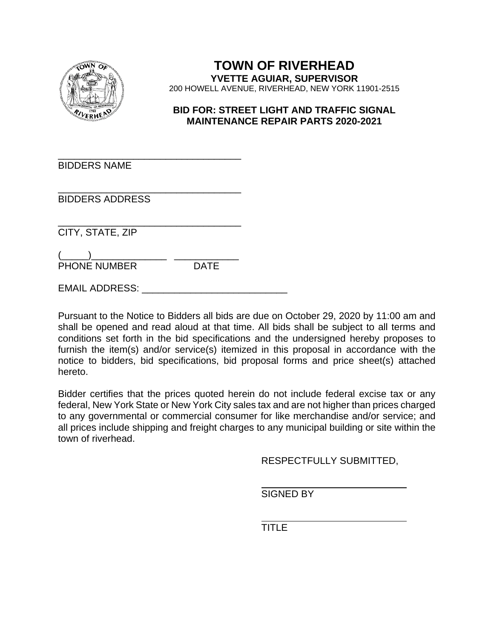

### **TOWN OF RIVERHEAD YVETTE AGUIAR, SUPERVISOR**  200 HOWELL AVENUE, RIVERHEAD, NEW YORK 11901-2515

#### **BID FOR: STREET LIGHT AND TRAFFIC SIGNAL MAINTENANCE REPAIR PARTS 2020-2021**

\_\_\_\_\_\_\_\_\_\_\_\_\_\_\_\_\_\_\_\_\_\_\_\_\_\_\_\_\_\_\_\_\_\_ BIDDERS NAME

\_\_\_\_\_\_\_\_\_\_\_\_\_\_\_\_\_\_\_\_\_\_\_\_\_\_\_\_\_\_\_\_\_\_ BIDDERS ADDRESS

\_\_\_\_\_\_\_\_\_\_\_\_\_\_\_\_\_\_\_\_\_\_\_\_\_\_\_\_\_\_\_\_\_\_ CITY, STATE, ZIP

 $\overbrace{\phantom{aaaaa}}^{2}$ PHONE NUMBER DATE

EMAIL ADDRESS:

Pursuant to the Notice to Bidders all bids are due on October 29, 2020 by 11:00 am and shall be opened and read aloud at that time. All bids shall be subject to all terms and conditions set forth in the bid specifications and the undersigned hereby proposes to furnish the item(s) and/or service(s) itemized in this proposal in accordance with the notice to bidders, bid specifications, bid proposal forms and price sheet(s) attached hereto.

Bidder certifies that the prices quoted herein do not include federal excise tax or any federal, New York State or New York City sales tax and are not higher than prices charged to any governmental or commercial consumer for like merchandise and/or service; and all prices include shipping and freight charges to any municipal building or site within the town of riverhead.

RESPECTFULLY SUBMITTED,

SIGNED BY

**TITLE**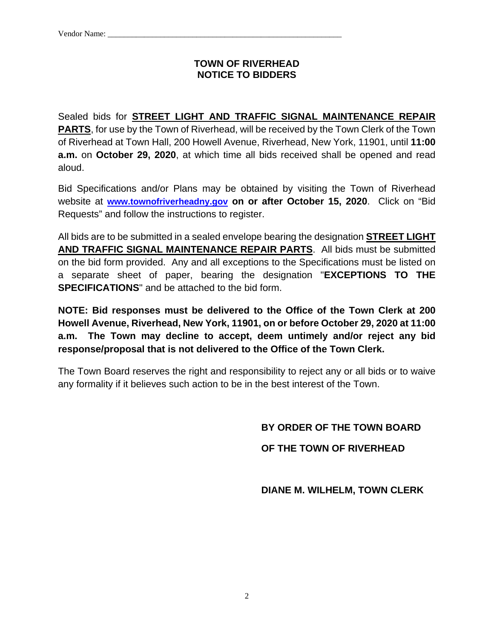#### **TOWN OF RIVERHEAD NOTICE TO BIDDERS**

Sealed bids for **STREET LIGHT AND TRAFFIC SIGNAL MAINTENANCE REPAIR PARTS**, for use by the Town of Riverhead, will be received by the Town Clerk of the Town of Riverhead at Town Hall, 200 Howell Avenue, Riverhead, New York, 11901, until **11:00 a.m.** on **October 29, 2020**, at which time all bids received shall be opened and read aloud.

Bid Specifications and/or Plans may be obtained by visiting the Town of Riverhead website at **www.townofriverheadny.gov on or after October 15, 2020**. Click on "Bid Requests" and follow the instructions to register.

All bids are to be submitted in a sealed envelope bearing the designation **STREET LIGHT AND TRAFFIC SIGNAL MAINTENANCE REPAIR PARTS**. All bids must be submitted on the bid form provided. Any and all exceptions to the Specifications must be listed on a separate sheet of paper, bearing the designation "**EXCEPTIONS TO THE SPECIFICATIONS**" and be attached to the bid form.

**NOTE: Bid responses must be delivered to the Office of the Town Clerk at 200 Howell Avenue, Riverhead, New York, 11901, on or before October 29, 2020 at 11:00 a.m. The Town may decline to accept, deem untimely and/or reject any bid response/proposal that is not delivered to the Office of the Town Clerk.**

The Town Board reserves the right and responsibility to reject any or all bids or to waive any formality if it believes such action to be in the best interest of the Town.

## **BY ORDER OF THE TOWN BOARD**

### **OF THE TOWN OF RIVERHEAD**

 **DIANE M. WILHELM, TOWN CLERK**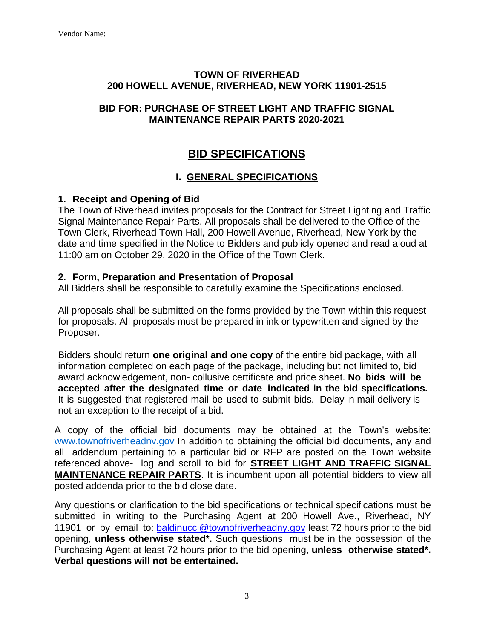### **TOWN OF RIVERHEAD 200 HOWELL AVENUE, RIVERHEAD, NEW YORK 11901-2515**

### **BID FOR: PURCHASE OF STREET LIGHT AND TRAFFIC SIGNAL MAINTENANCE REPAIR PARTS 2020-2021**

# **BID SPECIFICATIONS**

## **I. GENERAL SPECIFICATIONS**

### **1. Receipt and Opening of Bid**

The Town of Riverhead invites proposals for the Contract for Street Lighting and Traffic Signal Maintenance Repair Parts. All proposals shall be delivered to the Office of the Town Clerk, Riverhead Town Hall, 200 Howell Avenue, Riverhead, New York by the date and time specified in the Notice to Bidders and publicly opened and read aloud at 11:00 am on October 29, 2020 in the Office of the Town Clerk.

### **2. Form, Preparation and Presentation of Proposal**

All Bidders shall be responsible to carefully examine the Specifications enclosed.

All proposals shall be submitted on the forms provided by the Town within this request for proposals. All proposals must be prepared in ink or typewritten and signed by the Proposer.

Bidders should return **one original and one copy** of the entire bid package, with all information completed on each page of the package, including but not limited to, bid award acknowledgement, non- collusive certificate and price sheet. **No bids will be accepted after the designated time or date indicated in the bid specifications.**  It is suggested that registered mail be used to submit bids. Delay in mail delivery is not an exception to the receipt of a bid.

A copy of the official bid documents may be obtained at the Town's website: www.townofriverheadnv.gov In addition to obtaining the official bid documents, any and all addendum pertaining to a particular bid or RFP are posted on the Town website referenced above- log and scroll to bid for **STREET LIGHT AND TRAFFIC SIGNAL MAINTENANCE REPAIR PARTS**. It is incumbent upon all potential bidders to view all posted addenda prior to the bid close date.

Any questions or clarification to the bid specifications or technical specifications must be submitted in writing to the Purchasing Agent at 200 Howell Ave., Riverhead, NY 11901 or by email to: **baldinucci@townofriverheadny.gov** least 72 hours prior to the bid opening, **unless otherwise stated\*.** Such questions must be in the possession of the Purchasing Agent at least 72 hours prior to the bid opening, **unless otherwise stated\*. Verbal questions will not be entertained.**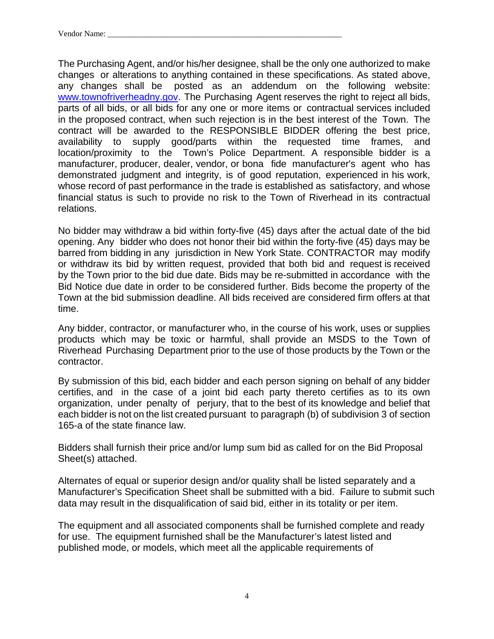The Purchasing Agent, and/or his/her designee, shall be the only one authorized to make changes or alterations to anything contained in these specifications. As stated above, any changes shall be posted as an addendum on the following website: www.townofriverheadny.gov. The Purchasing Agent reserves the right to reject all bids, parts of all bids, or all bids for any one or more items or contractual services included in the proposed contract, when such rejection is in the best interest of the Town. The contract will be awarded to the RESPONSIBLE BIDDER offering the best price, availability to supply good/parts within the requested time frames, and location/proximity to the Town's Police Department. A responsible bidder is a manufacturer, producer, dealer, vendor, or bona fide manufacturer's agent who has demonstrated judgment and integrity, is of good reputation, experienced in his work, whose record of past performance in the trade is established as satisfactory, and whose financial status is such to provide no risk to the Town of Riverhead in its contractual relations.

No bidder may withdraw a bid within forty-five (45) days after the actual date of the bid opening. Any bidder who does not honor their bid within the forty-five (45) days may be barred from bidding in any jurisdiction in New York State. CONTRACTOR may modify or withdraw its bid by written request, provided that both bid and request is received by the Town prior to the bid due date. Bids may be re-submitted in accordance with the Bid Notice due date in order to be considered further. Bids become the property of the Town at the bid submission deadline. All bids received are considered firm offers at that time.

Any bidder, contractor, or manufacturer who, in the course of his work, uses or supplies products which may be toxic or harmful, shall provide an MSDS to the Town of Riverhead Purchasing Department prior to the use of those products by the Town or the contractor.

By submission of this bid, each bidder and each person signing on behalf of any bidder certifies, and in the case of a joint bid each party thereto certifies as to its own organization, under penalty of perjury, that to the best of its knowledge and belief that each bidder is not on the list created pursuant to paragraph (b) of subdivision 3 of section 165-a of the state finance law.

Bidders shall furnish their price and/or lump sum bid as called for on the Bid Proposal Sheet(s) attached.

Alternates of equal or superior design and/or quality shall be listed separately and a Manufacturer's Specification Sheet shall be submitted with a bid. Failure to submit such data may result in the disqualification of said bid, either in its totality or per item.

The equipment and all associated components shall be furnished complete and ready for use. The equipment furnished shall be the Manufacturer's latest listed and published mode, or models, which meet all the applicable requirements of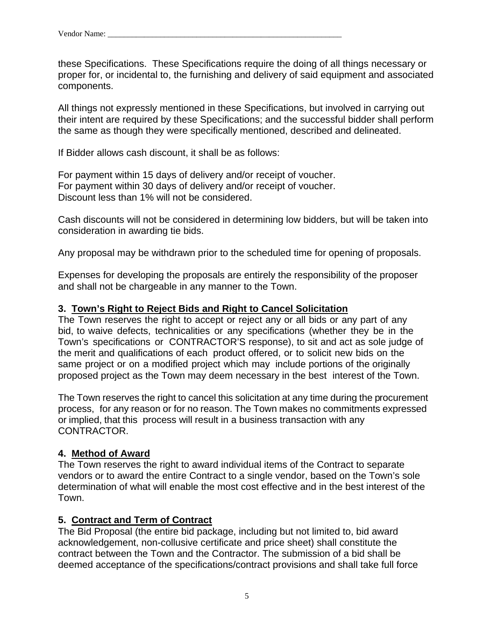these Specifications. These Specifications require the doing of all things necessary or proper for, or incidental to, the furnishing and delivery of said equipment and associated components.

All things not expressly mentioned in these Specifications, but involved in carrying out their intent are required by these Specifications; and the successful bidder shall perform the same as though they were specifically mentioned, described and delineated.

If Bidder allows cash discount, it shall be as follows:

For payment within 15 days of delivery and/or receipt of voucher. For payment within 30 days of delivery and/or receipt of voucher. Discount less than 1% will not be considered.

Cash discounts will not be considered in determining low bidders, but will be taken into consideration in awarding tie bids.

Any proposal may be withdrawn prior to the scheduled time for opening of proposals.

Expenses for developing the proposals are entirely the responsibility of the proposer and shall not be chargeable in any manner to the Town.

### **3. Town's Right to Reject Bids and Right to Cancel Solicitation**

The Town reserves the right to accept or reject any or all bids or any part of any bid, to waive defects, technicalities or any specifications (whether they be in the Town's specifications or CONTRACTOR'S response), to sit and act as sole judge of the merit and qualifications of each product offered, or to solicit new bids on the same project or on a modified project which may include portions of the originally proposed project as the Town may deem necessary in the best interest of the Town.

The Town reserves the right to cancel this solicitation at any time during the procurement process, for any reason or for no reason. The Town makes no commitments expressed or implied, that this process will result in a business transaction with any CONTRACTOR.

### **4. Method of Award**

The Town reserves the right to award individual items of the Contract to separate vendors or to award the entire Contract to a single vendor, based on the Town's sole determination of what will enable the most cost effective and in the best interest of the Town.

### **5. Contract and Term of Contract**

The Bid Proposal (the entire bid package, including but not limited to, bid award acknowledgement, non-collusive certificate and price sheet) shall constitute the contract between the Town and the Contractor. The submission of a bid shall be deemed acceptance of the specifications/contract provisions and shall take full force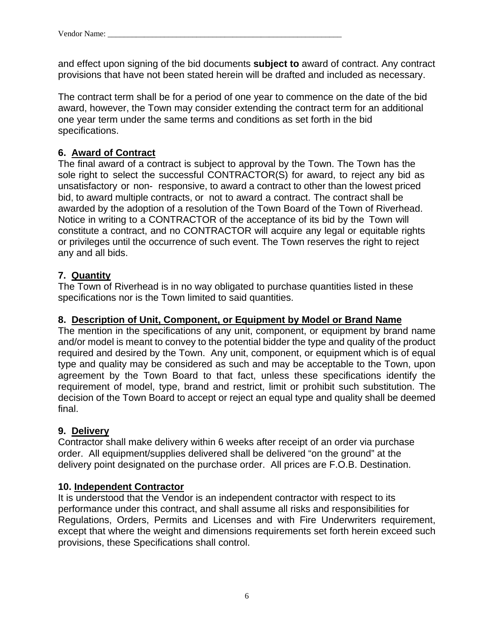and effect upon signing of the bid documents **subject to** award of contract. Any contract provisions that have not been stated herein will be drafted and included as necessary.

The contract term shall be for a period of one year to commence on the date of the bid award, however, the Town may consider extending the contract term for an additional one year term under the same terms and conditions as set forth in the bid specifications.

### **6. Award of Contract**

The final award of a contract is subject to approval by the Town. The Town has the sole right to select the successful CONTRACTOR(S) for award, to reject any bid as unsatisfactory or non- responsive, to award a contract to other than the lowest priced bid, to award multiple contracts, or not to award a contract. The contract shall be awarded by the adoption of a resolution of the Town Board of the Town of Riverhead. Notice in writing to a CONTRACTOR of the acceptance of its bid by the Town will constitute a contract, and no CONTRACTOR will acquire any legal or equitable rights or privileges until the occurrence of such event. The Town reserves the right to reject any and all bids.

### **7. Quantity**

The Town of Riverhead is in no way obligated to purchase quantities listed in these specifications nor is the Town limited to said quantities.

### **8. Description of Unit, Component, or Equipment by Model or Brand Name**

The mention in the specifications of any unit, component, or equipment by brand name and/or model is meant to convey to the potential bidder the type and quality of the product required and desired by the Town. Any unit, component, or equipment which is of equal type and quality may be considered as such and may be acceptable to the Town, upon agreement by the Town Board to that fact, unless these specifications identify the requirement of model, type, brand and restrict, limit or prohibit such substitution. The decision of the Town Board to accept or reject an equal type and quality shall be deemed final.

### **9. Delivery**

Contractor shall make delivery within 6 weeks after receipt of an order via purchase order. All equipment/supplies delivered shall be delivered "on the ground" at the delivery point designated on the purchase order. All prices are F.O.B. Destination.

#### **10. Independent Contractor**

It is understood that the Vendor is an independent contractor with respect to its performance under this contract, and shall assume all risks and responsibilities for Regulations, Orders, Permits and Licenses and with Fire Underwriters requirement, except that where the weight and dimensions requirements set forth herein exceed such provisions, these Specifications shall control.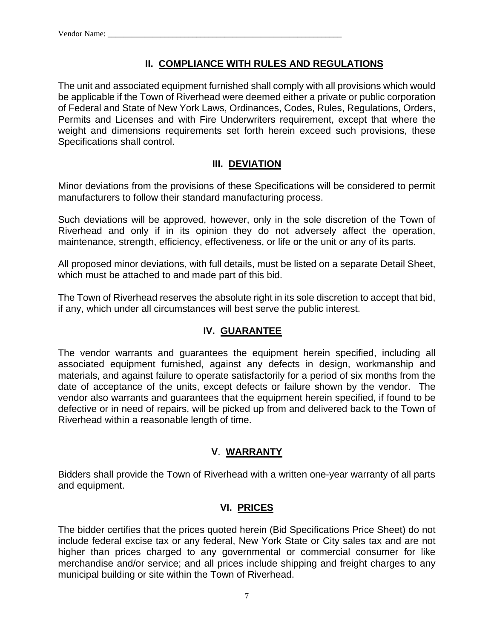### **II. COMPLIANCE WITH RULES AND REGULATIONS**

The unit and associated equipment furnished shall comply with all provisions which would be applicable if the Town of Riverhead were deemed either a private or public corporation of Federal and State of New York Laws, Ordinances, Codes, Rules, Regulations, Orders, Permits and Licenses and with Fire Underwriters requirement, except that where the weight and dimensions requirements set forth herein exceed such provisions, these Specifications shall control.

### **III. DEVIATION**

Minor deviations from the provisions of these Specifications will be considered to permit manufacturers to follow their standard manufacturing process.

Such deviations will be approved, however, only in the sole discretion of the Town of Riverhead and only if in its opinion they do not adversely affect the operation, maintenance, strength, efficiency, effectiveness, or life or the unit or any of its parts.

All proposed minor deviations, with full details, must be listed on a separate Detail Sheet, which must be attached to and made part of this bid.

The Town of Riverhead reserves the absolute right in its sole discretion to accept that bid, if any, which under all circumstances will best serve the public interest.

### **IV. GUARANTEE**

The vendor warrants and guarantees the equipment herein specified, including all associated equipment furnished, against any defects in design, workmanship and materials, and against failure to operate satisfactorily for a period of six months from the date of acceptance of the units, except defects or failure shown by the vendor. The vendor also warrants and guarantees that the equipment herein specified, if found to be defective or in need of repairs, will be picked up from and delivered back to the Town of Riverhead within a reasonable length of time.

### **V**. **WARRANTY**

Bidders shall provide the Town of Riverhead with a written one-year warranty of all parts and equipment.

### **VI. PRICES**

The bidder certifies that the prices quoted herein (Bid Specifications Price Sheet) do not include federal excise tax or any federal, New York State or City sales tax and are not higher than prices charged to any governmental or commercial consumer for like merchandise and/or service; and all prices include shipping and freight charges to any municipal building or site within the Town of Riverhead.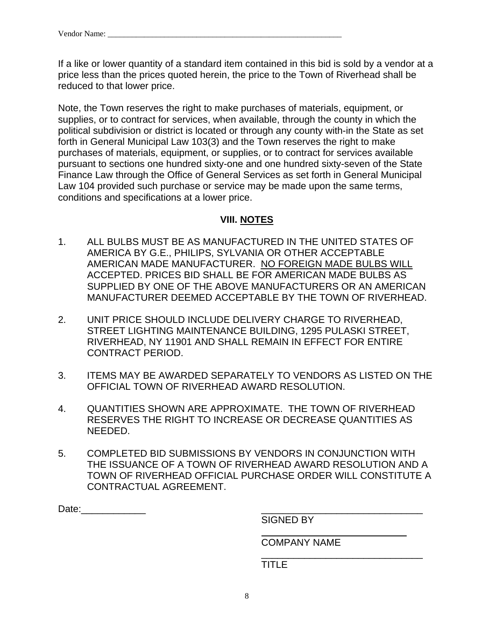If a like or lower quantity of a standard item contained in this bid is sold by a vendor at a price less than the prices quoted herein, the price to the Town of Riverhead shall be reduced to that lower price.

Note, the Town reserves the right to make purchases of materials, equipment, or supplies, or to contract for services, when available, through the county in which the political subdivision or district is located or through any county with-in the State as set forth in General Municipal Law 103(3) and the Town reserves the right to make purchases of materials, equipment, or supplies, or to contract for services available pursuant to sections one hundred sixty-one and one hundred sixty-seven of the State Finance Law through the Office of General Services as set forth in General Municipal Law 104 provided such purchase or service may be made upon the same terms, conditions and specifications at a lower price.

#### **VIII. NOTES**

- 1. ALL BULBS MUST BE AS MANUFACTURED IN THE UNITED STATES OF AMERICA BY G.E., PHILIPS, SYLVANIA OR OTHER ACCEPTABLE AMERICAN MADE MANUFACTURER. NO FOREIGN MADE BULBS WILL ACCEPTED. PRICES BID SHALL BE FOR AMERICAN MADE BULBS AS SUPPLIED BY ONE OF THE ABOVE MANUFACTURERS OR AN AMERICAN MANUFACTURER DEEMED ACCEPTABLE BY THE TOWN OF RIVERHEAD.
- 2. UNIT PRICE SHOULD INCLUDE DELIVERY CHARGE TO RIVERHEAD, STREET LIGHTING MAINTENANCE BUILDING, 1295 PULASKI STREET, RIVERHEAD, NY 11901 AND SHALL REMAIN IN EFFECT FOR ENTIRE CONTRACT PERIOD.
- 3. ITEMS MAY BE AWARDED SEPARATELY TO VENDORS AS LISTED ON THE OFFICIAL TOWN OF RIVERHEAD AWARD RESOLUTION.
- 4. QUANTITIES SHOWN ARE APPROXIMATE. THE TOWN OF RIVERHEAD RESERVES THE RIGHT TO INCREASE OR DECREASE QUANTITIES AS NEEDED.
- 5. COMPLETED BID SUBMISSIONS BY VENDORS IN CONJUNCTION WITH THE ISSUANCE OF A TOWN OF RIVERHEAD AWARD RESOLUTION AND A TOWN OF RIVERHEAD OFFICIAL PURCHASE ORDER WILL CONSTITUTE A CONTRACTUAL AGREEMENT.

Date:\_\_\_\_\_\_\_\_\_\_\_\_ \_\_\_\_\_\_\_\_\_\_\_\_\_\_\_\_\_\_\_\_\_\_\_\_\_\_\_\_\_\_

SIGNED BY

COMPANY NAME

TITLE

 $\overline{\phantom{a}}$  , and the contract of the contract of the contract of the contract of the contract of the contract of the contract of the contract of the contract of the contract of the contract of the contract of the contrac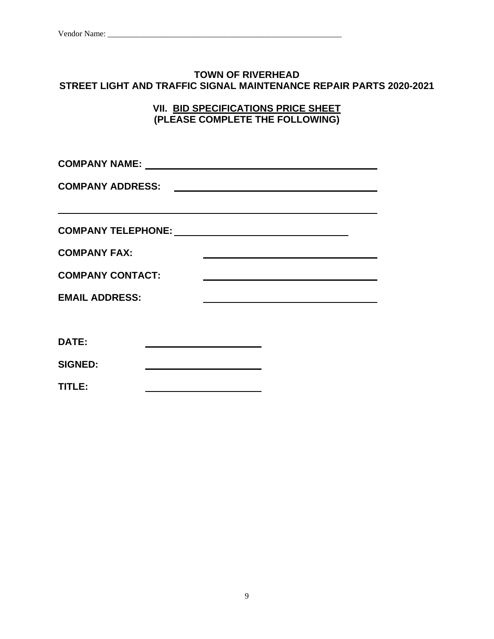#### **TOWN OF RIVERHEAD STREET LIGHT AND TRAFFIC SIGNAL MAINTENANCE REPAIR PARTS 2020-2021**

**VII. BID SPECIFICATIONS PRICE SHEET (PLEASE COMPLETE THE FOLLOWING)**

**COMPANY NAME: COMPANY ADDRESS: COMPANY TELEPHONE: COMPANY FAX: COMPANY CONTACT: EMAIL ADDRESS:**  <u> 1989 - Johann Barbara, martin amerikan basar da</u>

**DATE:** 

**SIGNED:** 

**TITLE:**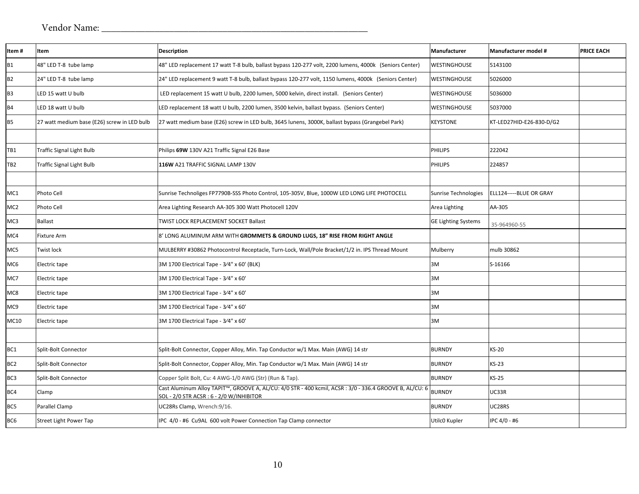| Item#           | Item                                        | <b>Description</b>                                                                                                                                  | Manufacturer               | Manufacturer model #     | <b>PRICE EACH</b> |
|-----------------|---------------------------------------------|-----------------------------------------------------------------------------------------------------------------------------------------------------|----------------------------|--------------------------|-------------------|
| <b>B1</b>       | 48" LED T-8 tube lamp                       | 48" LED replacement 17 watt T-8 bulb, ballast bypass 120-277 volt, 2200 lumens, 4000k (Seniors Center)                                              | <b>WESTINGHOUSE</b>        | 5143100                  |                   |
| <b>B2</b>       | 24" LED T-8 tube lamp                       | 24" LED replacement 9 watt T-8 bulb, ballast bypass 120-277 volt, 1150 lumens, 4000k (Seniors Center)                                               | <b>WESTINGHOUSE</b>        | 5026000                  |                   |
| B <sub>3</sub>  | LED 15 watt U bulb                          | LED replacement 15 watt U bulb, 2200 lumen, 5000 kelvin, direct install. (Seniors Center)                                                           | WESTINGHOUSE               | 5036000                  |                   |
| <b>B4</b>       | LED 18 watt U bulb                          | LED replacement 18 watt U bulb, 2200 lumen, 3500 kelvin, ballast bypass. (Seniors Center)                                                           | <b>WESTINGHOUSE</b>        | 5037000                  |                   |
| <b>B5</b>       | 27 watt medium base (E26) screw in LED bulb | 27 watt medium base (E26) screw in LED bulb, 3645 lunens, 3000K, ballast bypass (Grangebel Park)                                                    | KEYSTONE                   | KT-LED27HID-E26-830-D/G2 |                   |
|                 |                                             |                                                                                                                                                     |                            |                          |                   |
| TB <sub>1</sub> | <b>Traffic Signal Light Bulb</b>            | Philips 69W 130V A21 Traffic Signal E26 Base                                                                                                        | PHILIPS                    | 222042                   |                   |
| TB <sub>2</sub> | <b>Traffic Signal Light Bulb</b>            | 116W A21 TRAFFIC SIGNAL LAMP 130V                                                                                                                   | PHILIPS                    | 224857                   |                   |
|                 |                                             |                                                                                                                                                     |                            |                          |                   |
| MC1             | Photo Cell                                  | Sunrise Technoliges FP7790B-SSS Photo Control, 105-305V, Blue, 1000W LED LONG LIFE PHOTOCELL                                                        | Sunrise Technologies       | ELL124-----BLUE OR GRAY  |                   |
| MC <sub>2</sub> | Photo Cell                                  | Area Lighting Research AA-305 300 Watt Photocell 120V                                                                                               | Area Lighting              | AA-305                   |                   |
| MC3             | <b>Ballast</b>                              | TWIST LOCK REPLACEMENT SOCKET Ballast                                                                                                               | <b>GE Lighting Systems</b> | 35-964960-55             |                   |
| MC4             | <b>Fixture Arm</b>                          | 8' LONG ALUMINUM ARM WITH <b>GROMMETS &amp; GROUND LUGS, 18" RISE FROM RIGHT ANGLE</b>                                                              |                            |                          |                   |
| MC5             | Twist lock                                  | MULBERRY #30862 Photocontrol Receptacle, Turn-Lock, Wall/Pole Bracket/1/2 in. IPS Thread Mount                                                      | Mulberry                   | mulb 30862               |                   |
| MC <sub>6</sub> | Electric tape                               | 3M 1700 Electrical Tape - 3/4" x 60' (BLK)                                                                                                          | 3M                         | S-16166                  |                   |
| MC7             | Electric tape                               | 3M 1700 Electrical Tape - 3/4" x 60'                                                                                                                | 3M                         |                          |                   |
| MC8             | Electric tape                               | 3M 1700 Electrical Tape - 3/4" x 60'                                                                                                                | 3M                         |                          |                   |
| MC <sub>9</sub> | Electric tape                               | 3M 1700 Electrical Tape - 3/4" x 60'                                                                                                                | 3M                         |                          |                   |
| MC10            | Electric tape                               | 3M 1700 Electrical Tape - 3/4" x 60'                                                                                                                | 3M                         |                          |                   |
|                 |                                             |                                                                                                                                                     |                            |                          |                   |
| BC1             | Split-Bolt Connector                        | Split-Bolt Connector, Copper Alloy, Min. Tap Conductor w/1 Max. Main (AWG) 14 str                                                                   | <b>BURNDY</b>              | <b>KS-20</b>             |                   |
| BC <sub>2</sub> | Split-Bolt Connector                        | Split-Bolt Connector, Copper Alloy, Min. Tap Conductor w/1 Max. Main (AWG) 14 str                                                                   | <b>BURNDY</b>              | <b>KS-23</b>             |                   |
| BC <sub>3</sub> | Split-Bolt Connector                        | Copper Split Bolt, Cu: 4 AWG-1/0 AWG (Str) (Run & Tap).                                                                                             | <b>BURNDY</b>              | $KS-25$                  |                   |
| BC4             | Clamp                                       | Cast Aluminum Alloy TAPIT™, GROOVE A, AL/CU: 4/0 STR - 400 kcmil, ACSR : 3/0 - 336.4 GROOVE B, AL/CU: 6<br>SOL - 2/0 STR ACSR : 6 - 2/0 W/INHIBITOR | <b>BURNDY</b>              | UC33R                    |                   |
| BC5             | Parallel Clamp                              | JC28Rs Clamp, Wrench:9/16.                                                                                                                          | <b>BURNDY</b>              | UC28RS                   |                   |
| BC <sub>6</sub> | <b>Street Light Power Tap</b>               | IPC 4/0 - #6 Cu9AL 600 volt Power Connection Tap Clamp connector                                                                                    | Utilc0 Kupler              | IPC 4/0 - #6             |                   |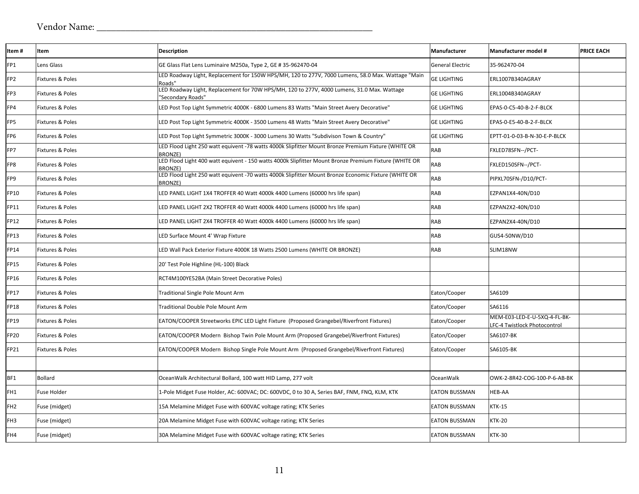| Item#           | Item                        | <b>Description</b>                                                                                                      | Manufacturer            | Manufacturer model #                                         | <b>PRICE EACH</b> |
|-----------------|-----------------------------|-------------------------------------------------------------------------------------------------------------------------|-------------------------|--------------------------------------------------------------|-------------------|
| FP1             | Lens Glass                  | GE Glass Flat Lens Luminaire M250a, Type 2, GE # 35-962470-04                                                           | <b>General Electric</b> | 35-962470-04                                                 |                   |
| FP <sub>2</sub> | Fixtures & Poles            | LED Roadway Light, Replacement for 150W HPS/MH, 120 to 277V, 7000 Lumens, 58.0 Max. Wattage "Main<br>Roads"             | <b>GE LIGHTING</b>      | ERL1007B340AGRAY                                             |                   |
| FP3             | <b>Fixtures &amp; Poles</b> | LED Roadway Light, Replacement for 70W HPS/MH, 120 to 277V, 4000 Lumens, 31.0 Max. Wattage<br>'Secondary Roads"         | <b>GE LIGHTING</b>      | ERL1004B340AGRAY                                             |                   |
| FP4             | Fixtures & Poles            | LED Post Top Light Symmetric 4000K - 6800 Lumens 83 Watts "Main Street Avery Decorative"                                | <b>GE LIGHTING</b>      | EPAS-0-C5-40-B-2-F-BLCK                                      |                   |
| FP5             | Fixtures & Poles            | LED Post Top Light Symmetric 4000K - 3500 Lumens 48 Watts "Main Street Avery Decorative"                                | <b>GE LIGHTING</b>      | EPAS-0-E5-40-B-2-F-BLCK                                      |                   |
| FP <sub>6</sub> | Fixtures & Poles            | LED Post Top Light Symmetric 3000K - 3000 Lumens 30 Watts "Subdivison Town & Country"                                   | <b>GE LIGHTING</b>      | EPTT-01-0-03-B-N-30-E-P-BLCK                                 |                   |
| FP7             | Fixtures & Poles            | LED Flood Light 250 watt equivent -78 watts 4000k Slipfitter Mount Bronze Premium Fixture (WHITE OR<br><b>BRONZE)</b>   | <b>RAB</b>              | FXLED78SFN--/PCT-                                            |                   |
| FP8             | Fixtures & Poles            | LED Flood Light 400 watt equivent - 150 watts 4000k Slipfitter Mount Bronze Premium Fixture (WHITE OR<br><b>BRONZE)</b> | <b>RAB</b>              | FXLED150SFN--/PCT-                                           |                   |
| FP9             | Fixtures & Poles            | LED Flood Light 250 watt equivent -70 watts 4000k Slipfitter Mount Bronze Economic Fixture (WHITE OR<br><b>BRONZE)</b>  | RAB                     | PIPXL70SFN-/D10/PCT-                                         |                   |
| FP10            | <b>Fixtures &amp; Poles</b> | LED PANEL LIGHT 1X4 TROFFER 40 Watt 4000k 4400 Lumens (60000 hrs life span)                                             | <b>RAB</b>              | EZPAN1X4-40N/D10                                             |                   |
| FP11            | Fixtures & Poles            | LED PANEL LIGHT 2X2 TROFFER 40 Watt 4000k 4400 Lumens (60000 hrs life span)                                             | <b>RAB</b>              | EZPAN2X2-40N/D10                                             |                   |
| <b>FP12</b>     | Fixtures & Poles            | LED PANEL LIGHT 2X4 TROFFER 40 Watt 4000k 4400 Lumens (60000 hrs life span)                                             | <b>RAB</b>              | EZPAN2X4-40N/D10                                             |                   |
| <b>FP13</b>     | Fixtures & Poles            | LED Surface Mount 4' Wrap Fixture                                                                                       | <b>RAB</b>              | GUS4-50NW/D10                                                |                   |
| FP14            | Fixtures & Poles            | LED Wall Pack Exterior Fixture 4000K 18 Watts 2500 Lumens (WHITE OR BRONZE)                                             | <b>RAB</b>              | SLIM18NW                                                     |                   |
| <b>FP15</b>     | Fixtures & Poles            | 20' Test Pole Highline (HL-100) Black                                                                                   |                         |                                                              |                   |
| <b>FP16</b>     | Fixtures & Poles            | RCT4M100YE52BA (Main Street Decorative Poles)                                                                           |                         |                                                              |                   |
| <b>FP17</b>     | Fixtures & Poles            | Traditional Single Pole Mount Arm                                                                                       | Eaton/Cooper            | SA6109                                                       |                   |
| <b>FP18</b>     | Fixtures & Poles            | Traditional Double Pole Mount Arm                                                                                       | Eaton/Cooper            | SA6116                                                       |                   |
| FP19            | Fixtures & Poles            | EATON/COOPER Streetworks EPIC LED Light Fixture (Proposed Grangebel/Riverfront Fixtures)                                | Eaton/Cooper            | MEM-E03-LED-E-U-5XQ-4-FL-BK-<br>LFC-4 Twistlock Photocontrol |                   |
| FP20            | <b>Fixtures &amp; Poles</b> | EATON/COOPER Modern Bishop Twin Pole Mount Arm (Proposed Grangebel/Riverfront Fixtures)                                 | Eaton/Cooper            | SA6107-BK                                                    |                   |
| FP21            | Fixtures & Poles            | EATON/COOPER Modern Bishop Single Pole Mount Arm (Proposed Grangebel/Riverfront Fixtures)                               | Eaton/Cooper            | SA6105-BK                                                    |                   |
|                 |                             |                                                                                                                         |                         |                                                              |                   |
| BF1             | <b>Bollard</b>              | OceanWalk Architectural Bollard, 100 watt HID Lamp, 277 volt                                                            | <b>OceanWalk</b>        | OWK-2-8R42-COG-100-P-6-AB-BK                                 |                   |
| FH1             | <b>Fuse Holder</b>          | 1-Pole Midget Fuse Holder, AC: 600VAC; DC: 600VDC, 0 to 30 A, Series BAF, FNM, FNQ, KLM, KTK                            | <b>EATON BUSSMAN</b>    | <b>HEB-AA</b>                                                |                   |
| FH <sub>2</sub> | Fuse (midget)               | 15A Melamine Midget Fuse with 600VAC voltage rating; KTK Series                                                         | <b>EATON BUSSMAN</b>    | <b>KTK-15</b>                                                |                   |
| FH <sub>3</sub> | Fuse (midget)               | 20A Melamine Midget Fuse with 600VAC voltage rating; KTK Series                                                         | <b>EATON BUSSMAN</b>    | <b>KTK-20</b>                                                |                   |
| FH4             | Fuse (midget)               | 30A Melamine Midget Fuse with 600VAC voltage rating; KTK Series                                                         | <b>EATON BUSSMAN</b>    | <b>KTK-30</b>                                                |                   |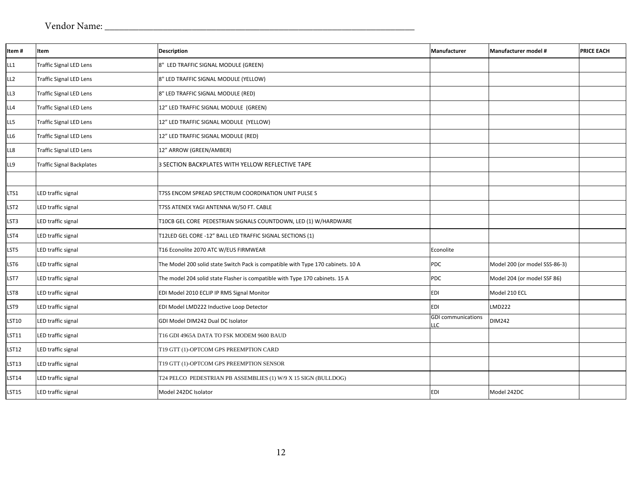| Item#           | Item                             | Description                                                                      | Manufacturer                     | Manufacturer model #          | <b>PRICE EACH</b> |
|-----------------|----------------------------------|----------------------------------------------------------------------------------|----------------------------------|-------------------------------|-------------------|
| LL1             | <b>Traffic Signal LED Lens</b>   | 8" LED TRAFFIC SIGNAL MODULE (GREEN)                                             |                                  |                               |                   |
| LL <sub>2</sub> | <b>Traffic Signal LED Lens</b>   | 8" LED TRAFFIC SIGNAL MODULE (YELLOW)                                            |                                  |                               |                   |
| LL3             | <b>Traffic Signal LED Lens</b>   | 8" LED TRAFFIC SIGNAL MODULE (RED)                                               |                                  |                               |                   |
| LL4             | <b>Traffic Signal LED Lens</b>   | 12" LED TRAFFIC SIGNAL MODULE (GREEN)                                            |                                  |                               |                   |
| LL5             | <b>Traffic Signal LED Lens</b>   | 12" LED TRAFFIC SIGNAL MODULE (YELLOW)                                           |                                  |                               |                   |
| LL6             | <b>Traffic Signal LED Lens</b>   | 12" LED TRAFFIC SIGNAL MODULE (RED)                                              |                                  |                               |                   |
| LL8             | <b>Traffic Signal LED Lens</b>   | 12" ARROW (GREEN/AMBER)                                                          |                                  |                               |                   |
| LL9             | <b>Traffic Signal Backplates</b> | 3 SECTION BACKPLATES WITH YELLOW REFLECTIVE TAPE                                 |                                  |                               |                   |
|                 |                                  |                                                                                  |                                  |                               |                   |
| LTS1            | LED traffic signal               | T7SS ENCOM SPREAD SPECTRUM COORDINATION UNIT PULSE S                             |                                  |                               |                   |
| LST2            | LED traffic signal               | T7SS ATENEX YAGI ANTENNA W/50 FT. CABLE                                          |                                  |                               |                   |
| LST3            | LED traffic signal               | T10CB GEL CORE PEDESTRIAN SIGNALS COUNTDOWN, LED (1) W/HARDWARE                  |                                  |                               |                   |
| LST4            | LED traffic signal               | T12LED GEL CORE -12" BALL LED TRAFFIC SIGNAL SECTIONS (1)                        |                                  |                               |                   |
| LST5            | LED traffic signal               | T16 Econolite 2070 ATC W/EUS FIRMWEAR                                            | Econolite                        |                               |                   |
| LST6            | LED traffic signal               | The Model 200 solid state Switch Pack is compatible with Type 170 cabinets. 10 A | PDC                              | Model 200 (or model SSS-86-3) |                   |
| LST7            | LED traffic signal               | The model 204 solid state Flasher is compatible with Type 170 cabinets. 15 A     | PDC                              | Model 204 (or model SSF 86)   |                   |
| LST8            | LED traffic signal               | EDI Model 2010 ECLIP IP RMS Signal Monitor                                       | EDI                              | Model 210 ECL                 |                   |
| LST9            | LED traffic signal               | EDI Model LMD222 Inductive Loop Detector                                         | EDI                              | <b>LMD222</b>                 |                   |
| LST10           | LED traffic signal               | GDI Model DIM242 Dual DC Isolator                                                | <b>GDI</b> communications<br>LLC | <b>DIM242</b>                 |                   |
| LST11           | LED traffic signal               | T16 GDI 4965A DATA TO FSK MODEM 9600 BAUD                                        |                                  |                               |                   |
| LST12           | LED traffic signal               | T19 GTT (1)-OPTCOM GPS PREEMPTION CARD                                           |                                  |                               |                   |
| LST13           | LED traffic signal               | T19 GTT (1)-OPTCOM GPS PREEMPTION SENSOR                                         |                                  |                               |                   |
| LST14           | LED traffic signal               | T24 PELCO PEDESTRIAN PB ASSEMBLIES (1) W/9 X 15 SIGN (BULLDOG)                   |                                  |                               |                   |
| LST15           | LED traffic signal               | Model 242DC Isolator                                                             | EDI                              | Model 242DC                   |                   |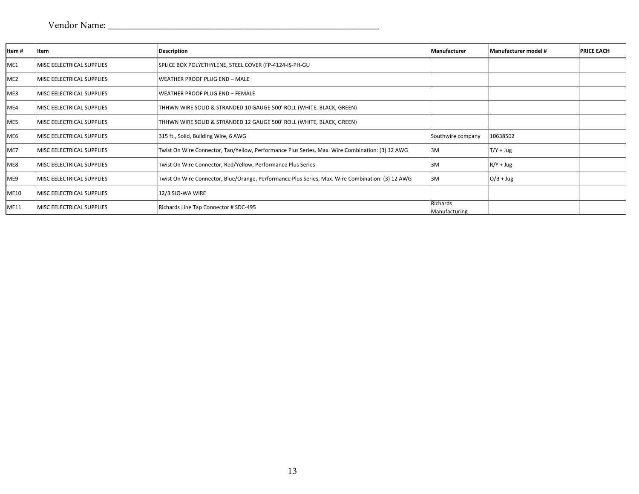| Item#           | Item                              | <b>Description</b>                                                                               | Manufacturer              | Manufacturer model # | <b>PRICE EACH</b> |
|-----------------|-----------------------------------|--------------------------------------------------------------------------------------------------|---------------------------|----------------------|-------------------|
| ME1             | <b>MISC EELECTRICAL SUPPLIES</b>  | SPLICE BOX POLYETHYLENE, STEEL COVER (FP-4124-IS-PH-GU                                           |                           |                      |                   |
| ME <sub>2</sub> | <b>IMISC EELECTRICAL SUPPLIES</b> | WEATHER PROOF PLUG END - MALE                                                                    |                           |                      |                   |
| ME3             | <b>MISC EELECTRICAL SUPPLIES</b>  | WEATHER PROOF PLUG END - FEMALE                                                                  |                           |                      |                   |
| ME4             | MISC EELECTRICAL SUPPLIES         | THHWN WIRE SOLID & STRANDED 10 GAUGE 500' ROLL (WHITE, BLACK, GREEN)                             |                           |                      |                   |
| ME5             | <b>MISC EELECTRICAL SUPPLIES</b>  | THHWN WIRE SOLID & STRANDED 12 GAUGE 500' ROLL (WHITE, BLACK, GREEN)                             |                           |                      |                   |
| ME <sub>6</sub> | MISC EELECTRICAL SUPPLIES         | 315 ft., Solid, Building Wire, 6 AWG                                                             | Southwire company         | 10638502             |                   |
| ME7             | MISC EELECTRICAL SUPPLIES         | Twist On Wire Connector, Tan/Yellow, Performance Plus Series, Max. Wire Combination: (3) 12 AWG  | 3M                        | $T/Y + Jug$          |                   |
| ME8             | <b>MISC EELECTRICAL SUPPLIES</b>  | Twist On Wire Connector, Red/Yellow, Performance Plus Series                                     | 3M                        | $R/Y + Jug$          |                   |
| ME9             | MISC EELECTRICAL SUPPLIES         | Twist On Wire Connector, Blue/Orange, Performance Plus Series, Max. Wire Combination: (3) 12 AWG | 3M                        | $O/B + Jug$          |                   |
| <b>ME10</b>     | MISC EELECTRICAL SUPPLIES         | 12/3 SJO-WA WIRE                                                                                 |                           |                      |                   |
| ME11            | MISC EELECTRICAL SUPPLIES         | Richards Line Tap Connector # SDC-495                                                            | Richards<br>Manufacturing |                      |                   |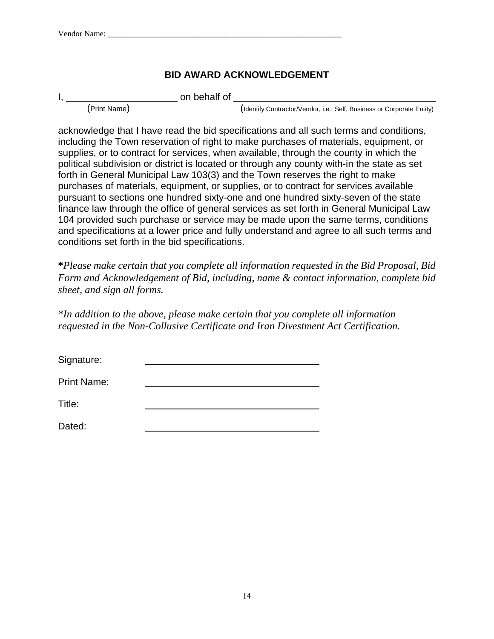### **BID AWARD ACKNOWLEDGEMENT**

on behalf of

(Print Name) (Identify Contractor/Vendor, i.e.: Self, Business or Corporate Entity)

acknowledge that I have read the bid specifications and all such terms and conditions, including the Town reservation of right to make purchases of materials, equipment, or supplies, or to contract for services, when available, through the county in which the political subdivision or district is located or through any county with-in the state as set forth in General Municipal Law 103(3) and the Town reserves the right to make purchases of materials, equipment, or supplies, or to contract for services available pursuant to sections one hundred sixty-one and one hundred sixty-seven of the state finance law through the office of general services as set forth in General Municipal Law 104 provided such purchase or service may be made upon the same terms, conditions and specifications at a lower price and fully understand and agree to all such terms and conditions set forth in the bid specifications.

**\****Please make certain that you complete all information requested in the Bid Proposal, Bid Form and Acknowledgement of Bid, including, name & contact information, complete bid sheet, and sign all forms.* 

*\*In addition to the above, please make certain that you complete all information requested in the Non-Collusive Certificate and Iran Divestment Act Certification.*

Signature:

Print Name:

Title:

Dated: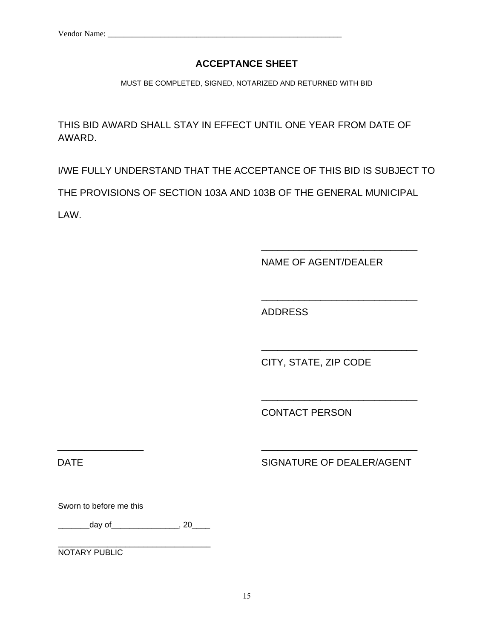### **ACCEPTANCE SHEET**

MUST BE COMPLETED, SIGNED, NOTARIZED AND RETURNED WITH BID

THIS BID AWARD SHALL STAY IN EFFECT UNTIL ONE YEAR FROM DATE OF AWARD.

I/WE FULLY UNDERSTAND THAT THE ACCEPTANCE OF THIS BID IS SUBJECT TO

THE PROVISIONS OF SECTION 103A AND 103B OF THE GENERAL MUNICIPAL

LAW.

NAME OF AGENT/DEALER

\_\_\_\_\_\_\_\_\_\_\_\_\_\_\_\_\_\_\_\_\_\_\_\_\_\_\_\_\_

\_\_\_\_\_\_\_\_\_\_\_\_\_\_\_\_\_\_\_\_\_\_\_\_\_\_\_\_\_

\_\_\_\_\_\_\_\_\_\_\_\_\_\_\_\_\_\_\_\_\_\_\_\_\_\_\_\_\_

\_\_\_\_\_\_\_\_\_\_\_\_\_\_\_\_\_\_\_\_\_\_\_\_\_\_\_\_\_

ADDRESS

CITY, STATE, ZIP CODE

CONTACT PERSON

DATE DATE SIGNATURE OF DEALER/AGENT

Sworn to before me this

\_\_\_\_\_\_\_\_\_day of\_\_\_\_\_\_\_\_\_\_\_\_\_\_\_\_, 20\_\_\_\_\_

\_\_\_\_\_\_\_\_\_\_\_\_\_\_\_\_\_\_\_\_\_\_\_\_\_\_\_\_\_\_\_\_\_\_

NOTARY PUBLIC

\_\_\_\_\_\_\_\_\_\_\_\_\_\_\_\_ \_\_\_\_\_\_\_\_\_\_\_\_\_\_\_\_\_\_\_\_\_\_\_\_\_\_\_\_\_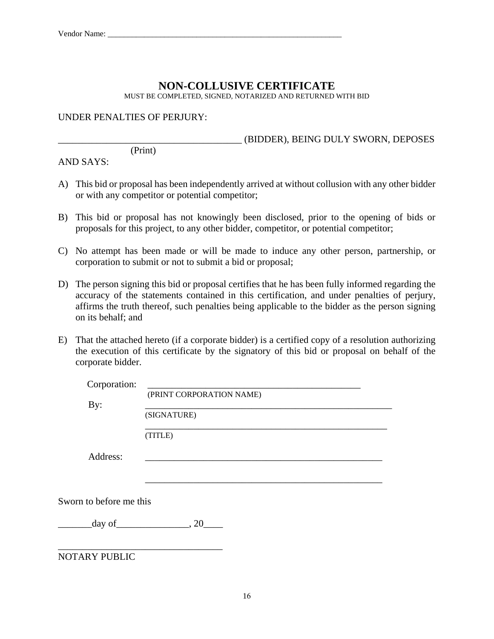### **NON-COLLUSIVE CERTIFICATE**

MUST BE COMPLETED, SIGNED, NOTARIZED AND RETURNED WITH BID

#### UNDER PENALTIES OF PERJURY:

\_\_\_\_\_\_\_\_\_\_\_\_\_\_\_\_\_\_\_\_\_\_\_\_\_\_\_\_\_\_\_\_\_\_\_\_\_\_ (BIDDER), BEING DULY SWORN, DEPOSES

(Print)

AND SAYS:

- A) This bid or proposal has been independently arrived at without collusion with any other bidder or with any competitor or potential competitor;
- B) This bid or proposal has not knowingly been disclosed, prior to the opening of bids or proposals for this project, to any other bidder, competitor, or potential competitor;
- C) No attempt has been made or will be made to induce any other person, partnership, or corporation to submit or not to submit a bid or proposal;
- D) The person signing this bid or proposal certifies that he has been fully informed regarding the accuracy of the statements contained in this certification, and under penalties of perjury, affirms the truth thereof, such penalties being applicable to the bidder as the person signing on its behalf; and
- E) That the attached hereto (if a corporate bidder) is a certified copy of a resolution authorizing the execution of this certificate by the signatory of this bid or proposal on behalf of the corporate bidder.

| Corporation:            | (PRINT CORPORATION NAME) |
|-------------------------|--------------------------|
| By:                     |                          |
|                         | (SIGNATURE)              |
|                         | (TITLE)                  |
| Address:                |                          |
|                         |                          |
| Sworn to before me this |                          |
|                         |                          |
|                         |                          |

NOTARY PUBLIC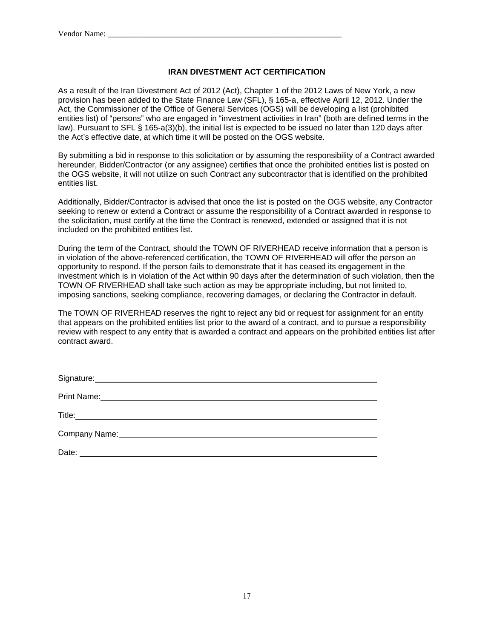#### **IRAN DIVESTMENT ACT CERTIFICATION**

As a result of the Iran Divestment Act of 2012 (Act), Chapter 1 of the 2012 Laws of New York, a new provision has been added to the State Finance Law (SFL), § 165-a, effective April 12, 2012. Under the Act, the Commissioner of the Office of General Services (OGS) will be developing a list (prohibited entities list) of "persons" who are engaged in "investment activities in Iran" (both are defined terms in the law). Pursuant to SFL § 165-a(3)(b), the initial list is expected to be issued no later than 120 days after the Act's effective date, at which time it will be posted on the OGS website.

By submitting a bid in response to this solicitation or by assuming the responsibility of a Contract awarded hereunder, Bidder/Contractor (or any assignee) certifies that once the prohibited entities list is posted on the OGS website, it will not utilize on such Contract any subcontractor that is identified on the prohibited entities list.

Additionally, Bidder/Contractor is advised that once the list is posted on the OGS website, any Contractor seeking to renew or extend a Contract or assume the responsibility of a Contract awarded in response to the solicitation, must certify at the time the Contract is renewed, extended or assigned that it is not included on the prohibited entities list.

During the term of the Contract, should the TOWN OF RIVERHEAD receive information that a person is in violation of the above-referenced certification, the TOWN OF RIVERHEAD will offer the person an opportunity to respond. If the person fails to demonstrate that it has ceased its engagement in the investment which is in violation of the Act within 90 days after the determination of such violation, then the TOWN OF RIVERHEAD shall take such action as may be appropriate including, but not limited to, imposing sanctions, seeking compliance, recovering damages, or declaring the Contractor in default.

The TOWN OF RIVERHEAD reserves the right to reject any bid or request for assignment for an entity that appears on the prohibited entities list prior to the award of a contract, and to pursue a responsibility review with respect to any entity that is awarded a contract and appears on the prohibited entities list after contract award.

| Signature: <u>contract and the set of the set of the set of the set of the set of the set of the set of the set of the set of the set of the set of the set of the set of the set of the set of the set of the set of the set of</u> |
|--------------------------------------------------------------------------------------------------------------------------------------------------------------------------------------------------------------------------------------|
|                                                                                                                                                                                                                                      |
|                                                                                                                                                                                                                                      |
|                                                                                                                                                                                                                                      |
|                                                                                                                                                                                                                                      |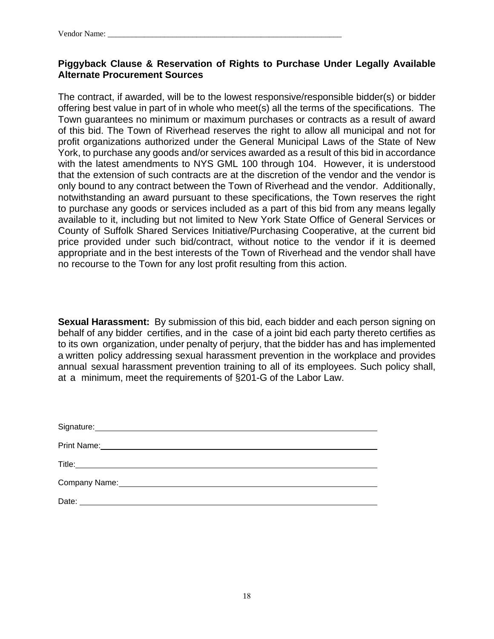### **Piggyback Clause & Reservation of Rights to Purchase Under Legally Available Alternate Procurement Sources**

The contract, if awarded, will be to the lowest responsive/responsible bidder(s) or bidder offering best value in part of in whole who meet(s) all the terms of the specifications. The Town guarantees no minimum or maximum purchases or contracts as a result of award of this bid. The Town of Riverhead reserves the right to allow all municipal and not for profit organizations authorized under the General Municipal Laws of the State of New York, to purchase any goods and/or services awarded as a result of this bid in accordance with the latest amendments to NYS GML 100 through 104. However, it is understood that the extension of such contracts are at the discretion of the vendor and the vendor is only bound to any contract between the Town of Riverhead and the vendor. Additionally, notwithstanding an award pursuant to these specifications, the Town reserves the right to purchase any goods or services included as a part of this bid from any means legally available to it, including but not limited to New York State Office of General Services or County of Suffolk Shared Services Initiative/Purchasing Cooperative, at the current bid price provided under such bid/contract, without notice to the vendor if it is deemed appropriate and in the best interests of the Town of Riverhead and the vendor shall have no recourse to the Town for any lost profit resulting from this action.

**Sexual Harassment:** By submission of this bid, each bidder and each person signing on behalf of any bidder certifies, and in the case of a joint bid each party thereto certifies as to its own organization, under penalty of perjury, that the bidder has and has implemented a written policy addressing sexual harassment prevention in the workplace and provides annual sexual harassment prevention training to all of its employees. Such policy shall, at a minimum, meet the requirements of §201-G of the Labor Law.

| Date: |  |
|-------|--|